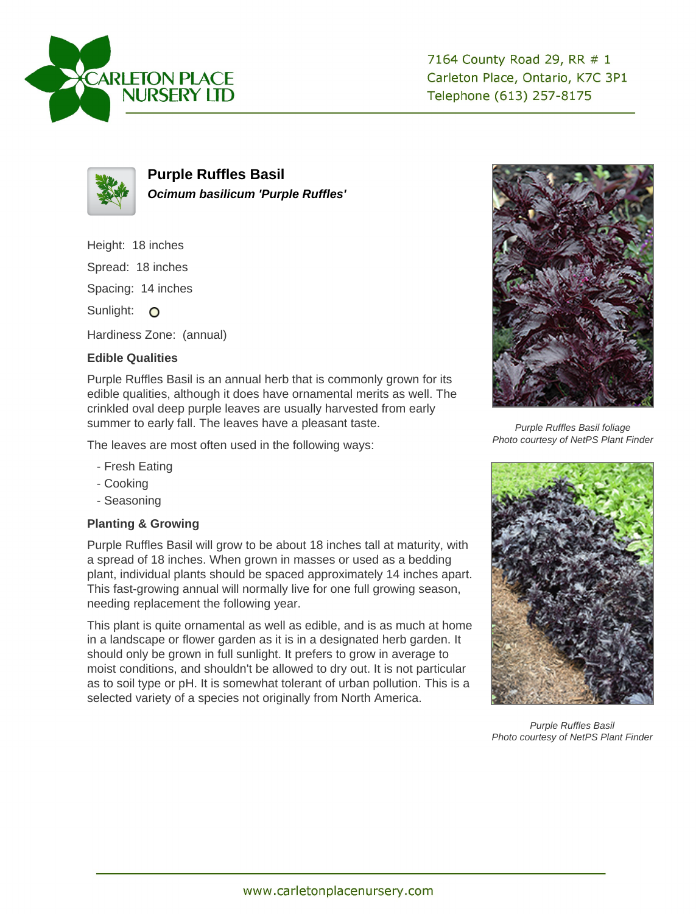



**Purple Ruffles Basil Ocimum basilicum 'Purple Ruffles'**

Height: 18 inches

Spread: 18 inches

Spacing: 14 inches

Sunlight: O

Hardiness Zone: (annual)

## **Edible Qualities**

Purple Ruffles Basil is an annual herb that is commonly grown for its edible qualities, although it does have ornamental merits as well. The crinkled oval deep purple leaves are usually harvested from early summer to early fall. The leaves have a pleasant taste.

The leaves are most often used in the following ways:

- Fresh Eating
- Cooking
- Seasoning

## **Planting & Growing**

Purple Ruffles Basil will grow to be about 18 inches tall at maturity, with a spread of 18 inches. When grown in masses or used as a bedding plant, individual plants should be spaced approximately 14 inches apart. This fast-growing annual will normally live for one full growing season, needing replacement the following year.

This plant is quite ornamental as well as edible, and is as much at home in a landscape or flower garden as it is in a designated herb garden. It should only be grown in full sunlight. It prefers to grow in average to moist conditions, and shouldn't be allowed to dry out. It is not particular as to soil type or pH. It is somewhat tolerant of urban pollution. This is a selected variety of a species not originally from North America.



Purple Ruffles Basil foliage Photo courtesy of NetPS Plant Finder



Purple Ruffles Basil Photo courtesy of NetPS Plant Finder